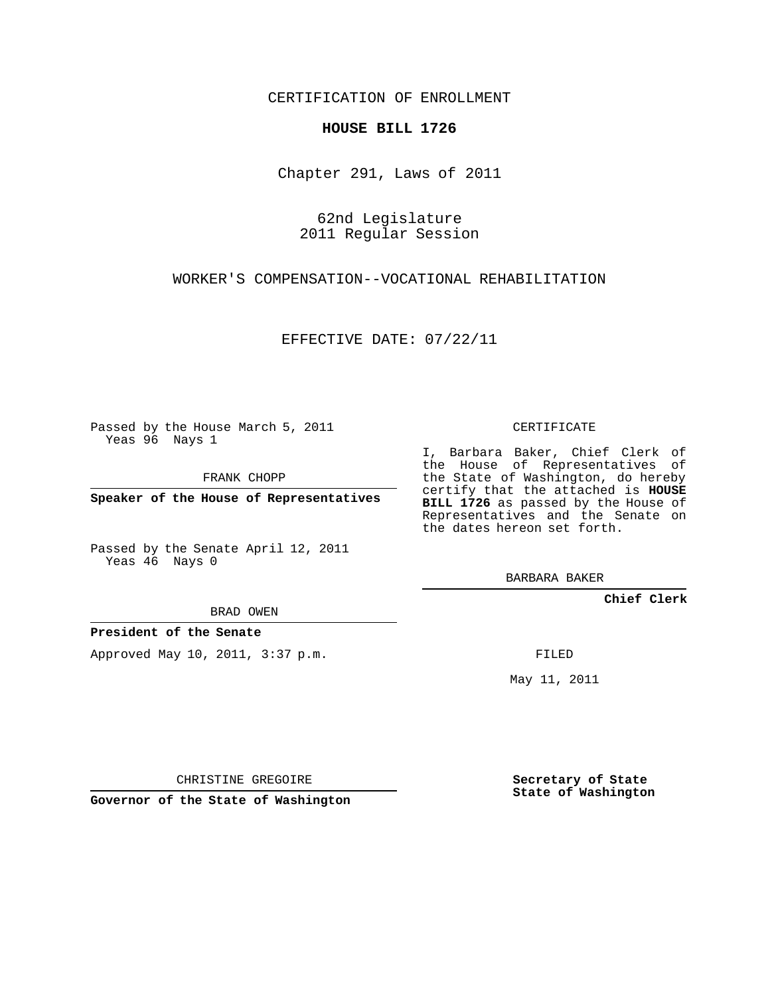CERTIFICATION OF ENROLLMENT

## **HOUSE BILL 1726**

Chapter 291, Laws of 2011

62nd Legislature 2011 Regular Session

WORKER'S COMPENSATION--VOCATIONAL REHABILITATION

EFFECTIVE DATE: 07/22/11

Passed by the House March 5, 2011 Yeas 96 Nays 1

FRANK CHOPP

**Speaker of the House of Representatives**

Passed by the Senate April 12, 2011 Yeas 46 Nays 0

## BRAD OWEN

**President of the Senate**

Approved May 10, 2011, 3:37 p.m.

CERTIFICATE

I, Barbara Baker, Chief Clerk of the House of Representatives of the State of Washington, do hereby certify that the attached is **HOUSE** BILL 1726 as passed by the House of Representatives and the Senate on the dates hereon set forth.

BARBARA BAKER

**Chief Clerk**

FILED

May 11, 2011

CHRISTINE GREGOIRE

**Governor of the State of Washington**

**Secretary of State State of Washington**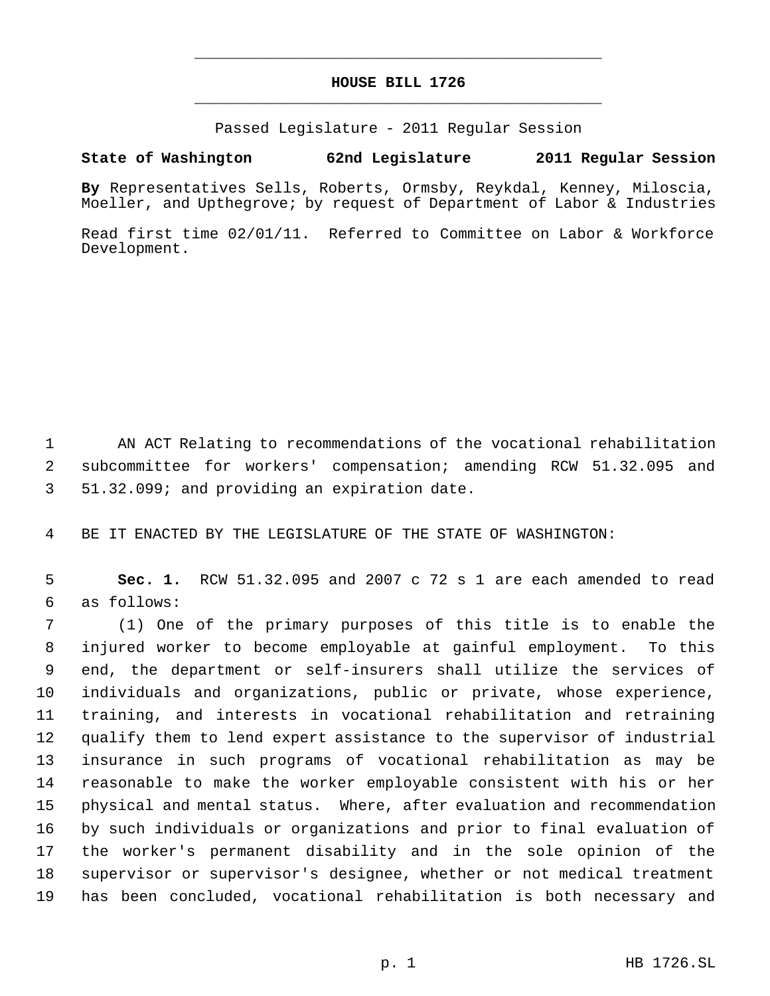## **HOUSE BILL 1726** \_\_\_\_\_\_\_\_\_\_\_\_\_\_\_\_\_\_\_\_\_\_\_\_\_\_\_\_\_\_\_\_\_\_\_\_\_\_\_\_\_\_\_\_\_

\_\_\_\_\_\_\_\_\_\_\_\_\_\_\_\_\_\_\_\_\_\_\_\_\_\_\_\_\_\_\_\_\_\_\_\_\_\_\_\_\_\_\_\_\_

Passed Legislature - 2011 Regular Session

## **State of Washington 62nd Legislature 2011 Regular Session**

**By** Representatives Sells, Roberts, Ormsby, Reykdal, Kenney, Miloscia, Moeller, and Upthegrove; by request of Department of Labor & Industries

Read first time 02/01/11. Referred to Committee on Labor & Workforce Development.

 AN ACT Relating to recommendations of the vocational rehabilitation subcommittee for workers' compensation; amending RCW 51.32.095 and 51.32.099; and providing an expiration date.

BE IT ENACTED BY THE LEGISLATURE OF THE STATE OF WASHINGTON:

 **Sec. 1.** RCW 51.32.095 and 2007 c 72 s 1 are each amended to read as follows:

 (1) One of the primary purposes of this title is to enable the injured worker to become employable at gainful employment. To this end, the department or self-insurers shall utilize the services of individuals and organizations, public or private, whose experience, training, and interests in vocational rehabilitation and retraining qualify them to lend expert assistance to the supervisor of industrial insurance in such programs of vocational rehabilitation as may be reasonable to make the worker employable consistent with his or her physical and mental status. Where, after evaluation and recommendation by such individuals or organizations and prior to final evaluation of the worker's permanent disability and in the sole opinion of the supervisor or supervisor's designee, whether or not medical treatment has been concluded, vocational rehabilitation is both necessary and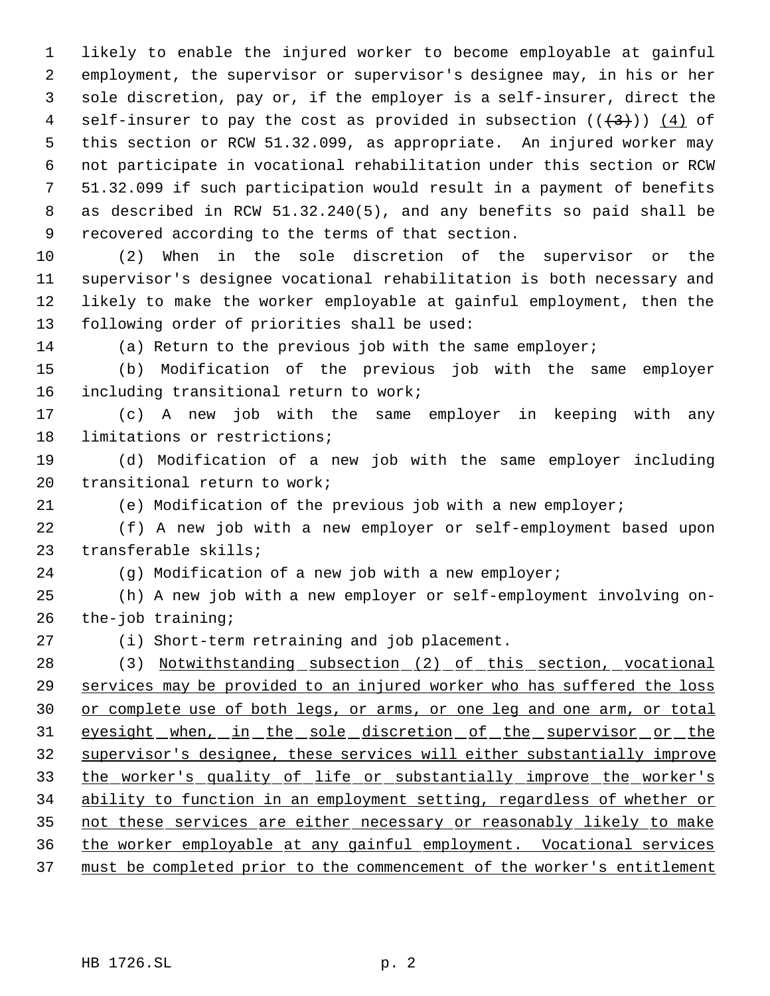likely to enable the injured worker to become employable at gainful employment, the supervisor or supervisor's designee may, in his or her sole discretion, pay or, if the employer is a self-insurer, direct the 4 self-insurer to pay the cost as provided in subsection  $((+3))$   $(4)$  of this section or RCW 51.32.099, as appropriate. An injured worker may not participate in vocational rehabilitation under this section or RCW 51.32.099 if such participation would result in a payment of benefits as described in RCW 51.32.240(5), and any benefits so paid shall be recovered according to the terms of that section.

 (2) When in the sole discretion of the supervisor or the supervisor's designee vocational rehabilitation is both necessary and likely to make the worker employable at gainful employment, then the following order of priorities shall be used:

(a) Return to the previous job with the same employer;

 (b) Modification of the previous job with the same employer including transitional return to work;

 (c) A new job with the same employer in keeping with any limitations or restrictions;

 (d) Modification of a new job with the same employer including transitional return to work;

(e) Modification of the previous job with a new employer;

 (f) A new job with a new employer or self-employment based upon transferable skills;

(g) Modification of a new job with a new employer;

 (h) A new job with a new employer or self-employment involving on-the-job training;

(i) Short-term retraining and job placement.

 (3) Notwithstanding subsection (2) of this section, vocational 29 services may be provided to an injured worker who has suffered the loss 30 or complete use of both legs, or arms, or one leg and one arm, or total 31 eyesight when, in the sole discretion of the supervisor or the supervisor's designee, these services will either substantially improve the worker's quality of life or substantially improve the worker's ability to function in an employment setting, regardless of whether or not these services are either necessary or reasonably likely to make the worker employable at any gainful employment. Vocational services must be completed prior to the commencement of the worker's entitlement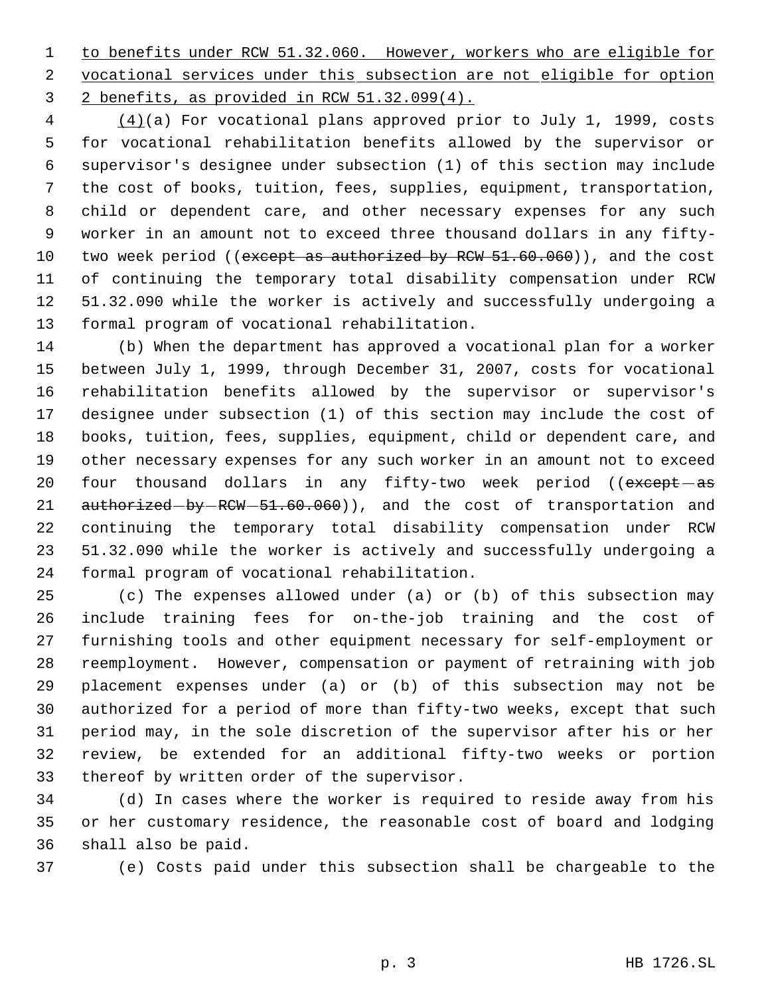to benefits under RCW 51.32.060. However, workers who are eligible for vocational services under this subsection are not eligible for option 2 benefits, as provided in RCW 51.32.099(4).

4 (4)(a) For vocational plans approved prior to July 1, 1999, costs for vocational rehabilitation benefits allowed by the supervisor or supervisor's designee under subsection (1) of this section may include the cost of books, tuition, fees, supplies, equipment, transportation, child or dependent care, and other necessary expenses for any such worker in an amount not to exceed three thousand dollars in any fifty-10 two week period ((except as authorized by RCW 51.60.060)), and the cost of continuing the temporary total disability compensation under RCW 51.32.090 while the worker is actively and successfully undergoing a formal program of vocational rehabilitation.

 (b) When the department has approved a vocational plan for a worker between July 1, 1999, through December 31, 2007, costs for vocational rehabilitation benefits allowed by the supervisor or supervisor's designee under subsection (1) of this section may include the cost of books, tuition, fees, supplies, equipment, child or dependent care, and other necessary expenses for any such worker in an amount not to exceed 20 four thousand dollars in any fifty-two week period ((except-as 21 authorized-by-RCW-51.60.060)), and the cost of transportation and continuing the temporary total disability compensation under RCW 51.32.090 while the worker is actively and successfully undergoing a formal program of vocational rehabilitation.

 (c) The expenses allowed under (a) or (b) of this subsection may include training fees for on-the-job training and the cost of furnishing tools and other equipment necessary for self-employment or reemployment. However, compensation or payment of retraining with job placement expenses under (a) or (b) of this subsection may not be authorized for a period of more than fifty-two weeks, except that such period may, in the sole discretion of the supervisor after his or her review, be extended for an additional fifty-two weeks or portion thereof by written order of the supervisor.

 (d) In cases where the worker is required to reside away from his or her customary residence, the reasonable cost of board and lodging shall also be paid.

(e) Costs paid under this subsection shall be chargeable to the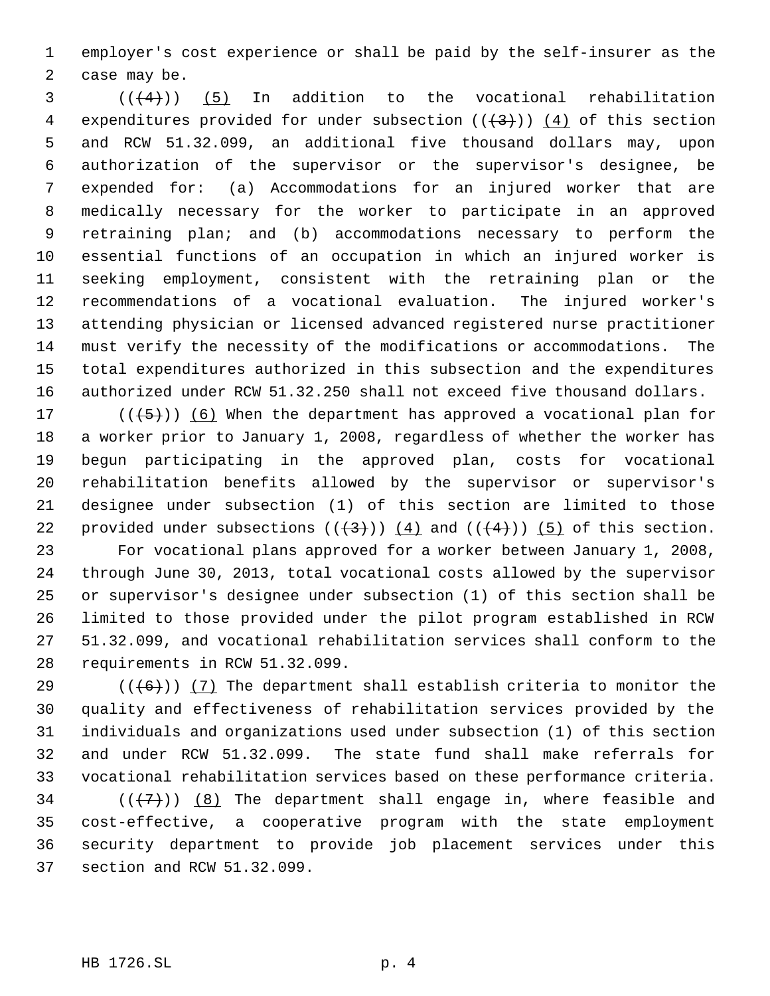employer's cost experience or shall be paid by the self-insurer as the case may be.

 ( $(\frac{4}{4})$ ) (5) In addition to the vocational rehabilitation 4 expenditures provided for under subsection  $((+3))$   $(4)$  of this section and RCW 51.32.099, an additional five thousand dollars may, upon authorization of the supervisor or the supervisor's designee, be expended for: (a) Accommodations for an injured worker that are medically necessary for the worker to participate in an approved retraining plan; and (b) accommodations necessary to perform the essential functions of an occupation in which an injured worker is seeking employment, consistent with the retraining plan or the recommendations of a vocational evaluation. The injured worker's attending physician or licensed advanced registered nurse practitioner must verify the necessity of the modifications or accommodations. The total expenditures authorized in this subsection and the expenditures authorized under RCW 51.32.250 shall not exceed five thousand dollars.

17 ( $(\overline{5})$ ) (6) When the department has approved a vocational plan for a worker prior to January 1, 2008, regardless of whether the worker has begun participating in the approved plan, costs for vocational rehabilitation benefits allowed by the supervisor or supervisor's designee under subsection (1) of this section are limited to those 22 provided under subsections  $((+3))$   $(4)$  and  $((+4))$   $(5)$  of this section. For vocational plans approved for a worker between January 1, 2008, through June 30, 2013, total vocational costs allowed by the supervisor or supervisor's designee under subsection (1) of this section shall be

 limited to those provided under the pilot program established in RCW 51.32.099, and vocational rehabilitation services shall conform to the requirements in RCW 51.32.099.

29 ( $(\overline{6})$ ) (7) The department shall establish criteria to monitor the quality and effectiveness of rehabilitation services provided by the individuals and organizations used under subsection (1) of this section and under RCW 51.32.099. The state fund shall make referrals for vocational rehabilitation services based on these performance criteria. 34 ( $(\langle 7 \rangle)$  (8) The department shall engage in, where feasible and cost-effective, a cooperative program with the state employment security department to provide job placement services under this section and RCW 51.32.099.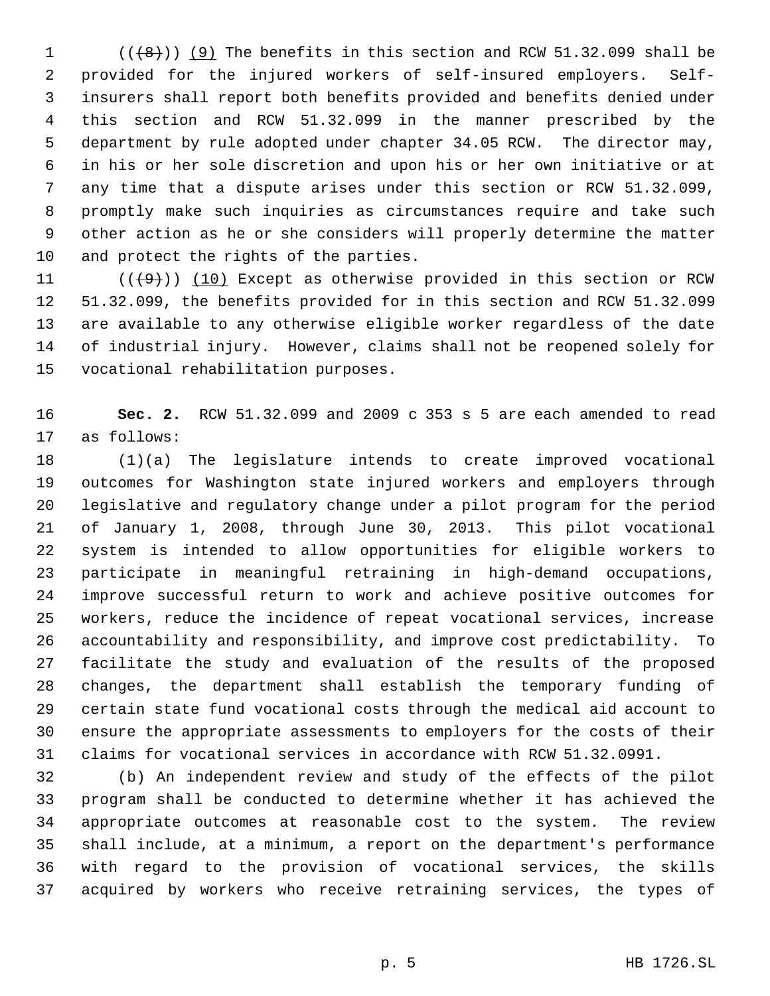$((\{8\})$  (9) The benefits in this section and RCW 51.32.099 shall be provided for the injured workers of self-insured employers. Self- insurers shall report both benefits provided and benefits denied under this section and RCW 51.32.099 in the manner prescribed by the department by rule adopted under chapter 34.05 RCW. The director may, in his or her sole discretion and upon his or her own initiative or at any time that a dispute arises under this section or RCW 51.32.099, promptly make such inquiries as circumstances require and take such other action as he or she considers will properly determine the matter and protect the rights of the parties.

 $((+9))$  (10) Except as otherwise provided in this section or RCW 51.32.099, the benefits provided for in this section and RCW 51.32.099 are available to any otherwise eligible worker regardless of the date of industrial injury. However, claims shall not be reopened solely for vocational rehabilitation purposes.

 **Sec. 2.** RCW 51.32.099 and 2009 c 353 s 5 are each amended to read as follows:

 (1)(a) The legislature intends to create improved vocational outcomes for Washington state injured workers and employers through legislative and regulatory change under a pilot program for the period of January 1, 2008, through June 30, 2013. This pilot vocational system is intended to allow opportunities for eligible workers to participate in meaningful retraining in high-demand occupations, improve successful return to work and achieve positive outcomes for workers, reduce the incidence of repeat vocational services, increase accountability and responsibility, and improve cost predictability. To facilitate the study and evaluation of the results of the proposed changes, the department shall establish the temporary funding of certain state fund vocational costs through the medical aid account to ensure the appropriate assessments to employers for the costs of their claims for vocational services in accordance with RCW 51.32.0991.

 (b) An independent review and study of the effects of the pilot program shall be conducted to determine whether it has achieved the appropriate outcomes at reasonable cost to the system. The review shall include, at a minimum, a report on the department's performance with regard to the provision of vocational services, the skills acquired by workers who receive retraining services, the types of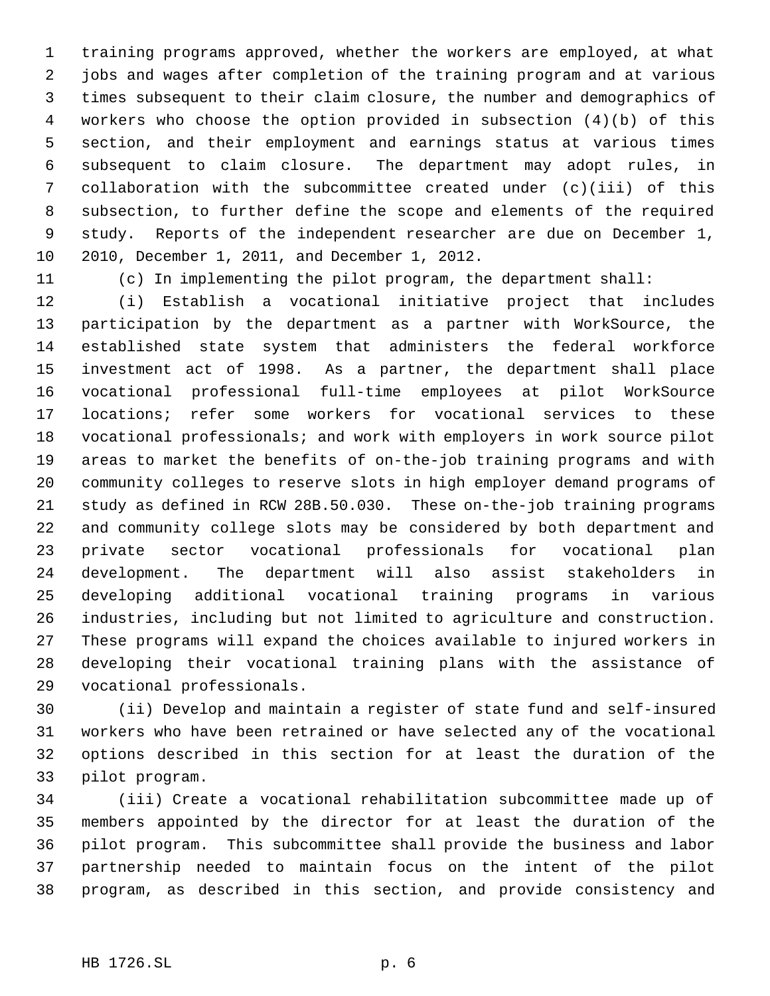training programs approved, whether the workers are employed, at what jobs and wages after completion of the training program and at various times subsequent to their claim closure, the number and demographics of workers who choose the option provided in subsection (4)(b) of this section, and their employment and earnings status at various times subsequent to claim closure. The department may adopt rules, in collaboration with the subcommittee created under (c)(iii) of this subsection, to further define the scope and elements of the required study. Reports of the independent researcher are due on December 1, 2010, December 1, 2011, and December 1, 2012.

(c) In implementing the pilot program, the department shall:

 (i) Establish a vocational initiative project that includes participation by the department as a partner with WorkSource, the established state system that administers the federal workforce investment act of 1998. As a partner, the department shall place vocational professional full-time employees at pilot WorkSource locations; refer some workers for vocational services to these vocational professionals; and work with employers in work source pilot areas to market the benefits of on-the-job training programs and with community colleges to reserve slots in high employer demand programs of study as defined in RCW 28B.50.030. These on-the-job training programs and community college slots may be considered by both department and private sector vocational professionals for vocational plan development. The department will also assist stakeholders in developing additional vocational training programs in various industries, including but not limited to agriculture and construction. These programs will expand the choices available to injured workers in developing their vocational training plans with the assistance of vocational professionals.

 (ii) Develop and maintain a register of state fund and self-insured workers who have been retrained or have selected any of the vocational options described in this section for at least the duration of the pilot program.

 (iii) Create a vocational rehabilitation subcommittee made up of members appointed by the director for at least the duration of the pilot program. This subcommittee shall provide the business and labor partnership needed to maintain focus on the intent of the pilot program, as described in this section, and provide consistency and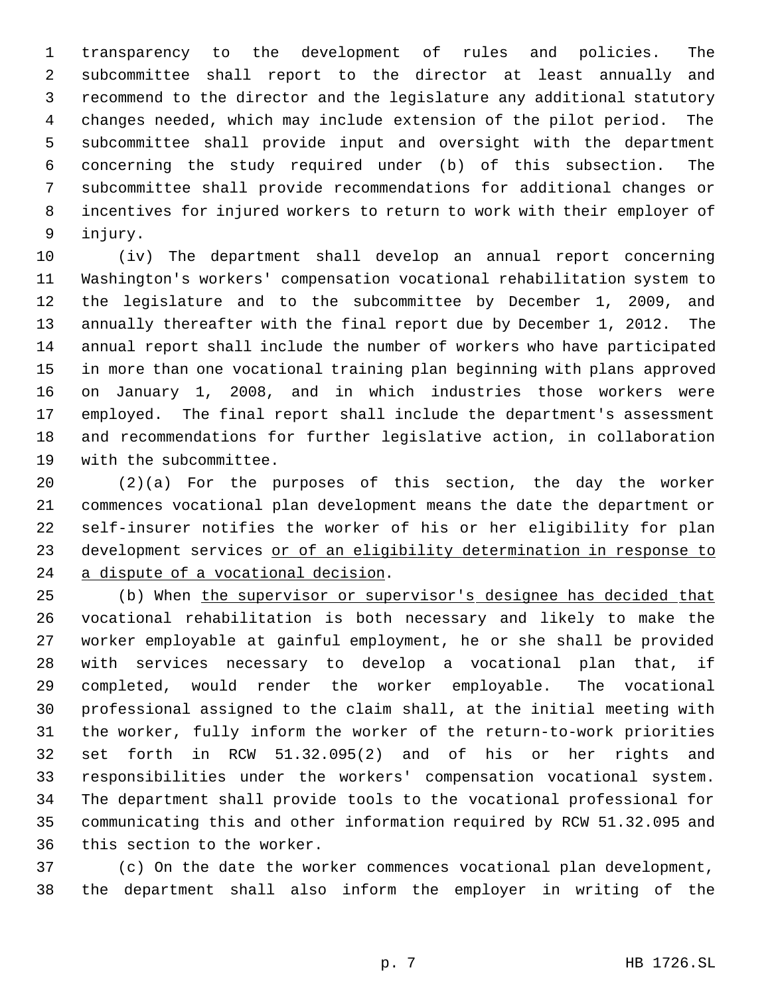transparency to the development of rules and policies. The subcommittee shall report to the director at least annually and recommend to the director and the legislature any additional statutory changes needed, which may include extension of the pilot period. The subcommittee shall provide input and oversight with the department concerning the study required under (b) of this subsection. The subcommittee shall provide recommendations for additional changes or incentives for injured workers to return to work with their employer of injury.

 (iv) The department shall develop an annual report concerning Washington's workers' compensation vocational rehabilitation system to the legislature and to the subcommittee by December 1, 2009, and annually thereafter with the final report due by December 1, 2012. The annual report shall include the number of workers who have participated in more than one vocational training plan beginning with plans approved on January 1, 2008, and in which industries those workers were employed. The final report shall include the department's assessment and recommendations for further legislative action, in collaboration with the subcommittee.

 (2)(a) For the purposes of this section, the day the worker commences vocational plan development means the date the department or self-insurer notifies the worker of his or her eligibility for plan 23 development services or of an eligibility determination in response to a dispute of a vocational decision.

25 (b) When the supervisor or supervisor's designee has decided that vocational rehabilitation is both necessary and likely to make the worker employable at gainful employment, he or she shall be provided with services necessary to develop a vocational plan that, if completed, would render the worker employable. The vocational professional assigned to the claim shall, at the initial meeting with the worker, fully inform the worker of the return-to-work priorities set forth in RCW 51.32.095(2) and of his or her rights and responsibilities under the workers' compensation vocational system. The department shall provide tools to the vocational professional for communicating this and other information required by RCW 51.32.095 and this section to the worker.

 (c) On the date the worker commences vocational plan development, the department shall also inform the employer in writing of the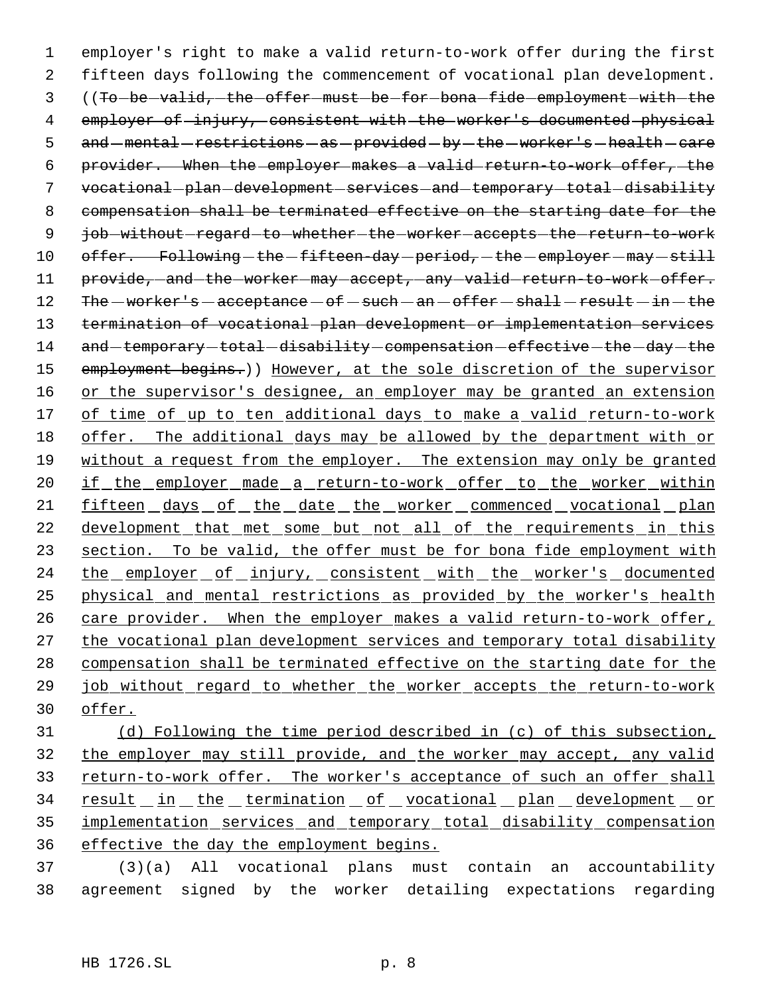1 employer's right to make a valid return-to-work offer during the first 2 fifteen days following the commencement of vocational plan development. 3 ((To-be-valid, the offer must be for bona fide employment with the 4 employer of injury, consistent with the worker's documented physical 5 and -mental -restrictions -as -provided -by -the -worker's -health -care 6 provider. When the employer makes a valid return-to-work offer, the 7 vocational-plan-development-services-and-temporary-total-disability 8 compensation shall be terminated effective on the starting date for the 9 job-without-regard-to-whether-the-worker-accepts-the-return-to-work 10 offer. Following-the-fifteen-day-period,-the-employer-may-still 11 provide, and the worker may accept, any valid return-to work offer. 12  $The - worker's - acceptance - of - such - an - offer - shall - result - in - the$ 13 termination of vocational plan development or implementation services 14 and -temporary -total -disability -compensation -effective -the -day -the 15 employment begins.)) However, at the sole discretion of the supervisor 16 or the supervisor's designee, an employer may be granted an extension 17 of time of up to ten additional days to make a valid return-to-work 18 offer. The additional days may be allowed by the department with or 19 without a request from the employer. The extension may only be granted 20 if the employer made a return-to-work offer to the worker within 21 fifteen days of the date the worker commenced vocational plan 22 development that met some but not all of the requirements in this 23 section. To be valid, the offer must be for bona fide employment with 24 the employer of injury, consistent with the worker's documented 25 physical and mental restrictions as provided by the worker's health 26 care provider. When the employer makes a valid return-to-work offer, 27 the vocational plan development services and temporary total disability 28 compensation shall be terminated effective on the starting date for the 29 job without regard to whether the worker accepts the return-to-work 30 offer.

 (d) Following the time period described in (c) of this subsection, the employer may still provide, and the worker may accept, any valid 33 return-to-work offer. The worker's acceptance of such an offer shall 34 result in the termination of vocational plan development or implementation services and temporary total disability compensation effective the day the employment begins.

37 (3)(a) All vocational plans must contain an accountability 38 agreement signed by the worker detailing expectations regarding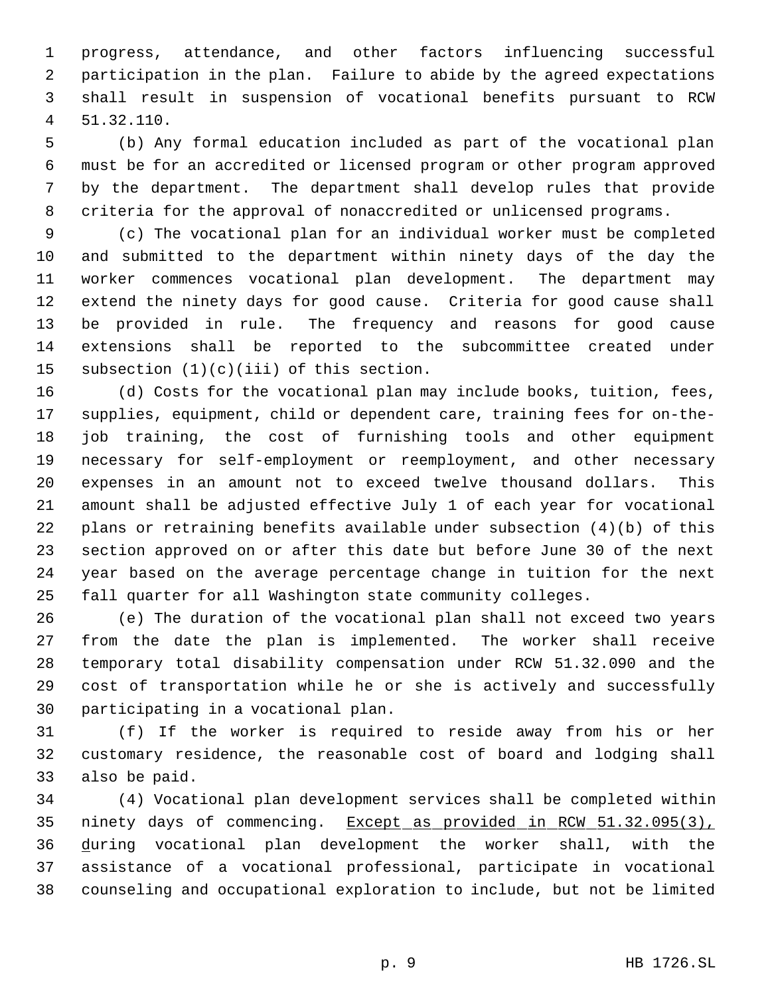progress, attendance, and other factors influencing successful participation in the plan. Failure to abide by the agreed expectations shall result in suspension of vocational benefits pursuant to RCW 51.32.110.

 (b) Any formal education included as part of the vocational plan must be for an accredited or licensed program or other program approved by the department. The department shall develop rules that provide criteria for the approval of nonaccredited or unlicensed programs.

 (c) The vocational plan for an individual worker must be completed and submitted to the department within ninety days of the day the worker commences vocational plan development. The department may extend the ninety days for good cause. Criteria for good cause shall be provided in rule. The frequency and reasons for good cause extensions shall be reported to the subcommittee created under subsection (1)(c)(iii) of this section.

 (d) Costs for the vocational plan may include books, tuition, fees, supplies, equipment, child or dependent care, training fees for on-the- job training, the cost of furnishing tools and other equipment necessary for self-employment or reemployment, and other necessary expenses in an amount not to exceed twelve thousand dollars. This amount shall be adjusted effective July 1 of each year for vocational plans or retraining benefits available under subsection (4)(b) of this section approved on or after this date but before June 30 of the next year based on the average percentage change in tuition for the next fall quarter for all Washington state community colleges.

 (e) The duration of the vocational plan shall not exceed two years from the date the plan is implemented. The worker shall receive temporary total disability compensation under RCW 51.32.090 and the cost of transportation while he or she is actively and successfully participating in a vocational plan.

 (f) If the worker is required to reside away from his or her customary residence, the reasonable cost of board and lodging shall also be paid.

 (4) Vocational plan development services shall be completed within 35 ninety days of commencing. Except as provided in RCW 51.32.095(3), during vocational plan development the worker shall, with the assistance of a vocational professional, participate in vocational counseling and occupational exploration to include, but not be limited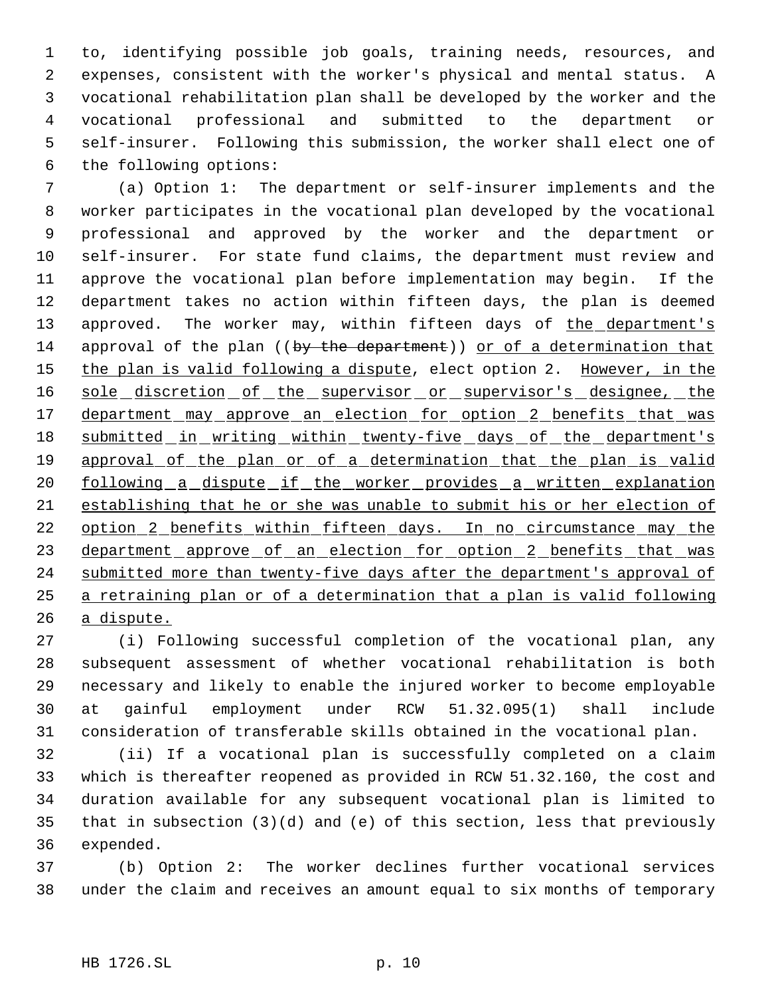to, identifying possible job goals, training needs, resources, and expenses, consistent with the worker's physical and mental status. A vocational rehabilitation plan shall be developed by the worker and the vocational professional and submitted to the department or self-insurer. Following this submission, the worker shall elect one of the following options:

 (a) Option 1: The department or self-insurer implements and the worker participates in the vocational plan developed by the vocational professional and approved by the worker and the department or self-insurer. For state fund claims, the department must review and approve the vocational plan before implementation may begin. If the department takes no action within fifteen days, the plan is deemed 13 approved. The worker may, within fifteen days of the department's 14 approval of the plan ((by the department)) or of a determination that 15 the plan is valid following a dispute, elect option 2. However, in the 16 sole discretion of the supervisor or supervisor's designee, the 17 department may approve an election for option 2 benefits that was 18 submitted in writing within twenty-five days of the department's 19 approval of the plan or of a determination that the plan is valid 20 following a dispute if the worker provides a written explanation establishing that he or she was unable to submit his or her election of 22 option 2 benefits within fifteen days. In no circumstance may the 23 department approve of an election for option 2 benefits that was 24 submitted more than twenty-five days after the department's approval of a retraining plan or of a determination that a plan is valid following a dispute.

 (i) Following successful completion of the vocational plan, any subsequent assessment of whether vocational rehabilitation is both necessary and likely to enable the injured worker to become employable at gainful employment under RCW 51.32.095(1) shall include consideration of transferable skills obtained in the vocational plan.

 (ii) If a vocational plan is successfully completed on a claim which is thereafter reopened as provided in RCW 51.32.160, the cost and duration available for any subsequent vocational plan is limited to that in subsection (3)(d) and (e) of this section, less that previously expended.

 (b) Option 2: The worker declines further vocational services under the claim and receives an amount equal to six months of temporary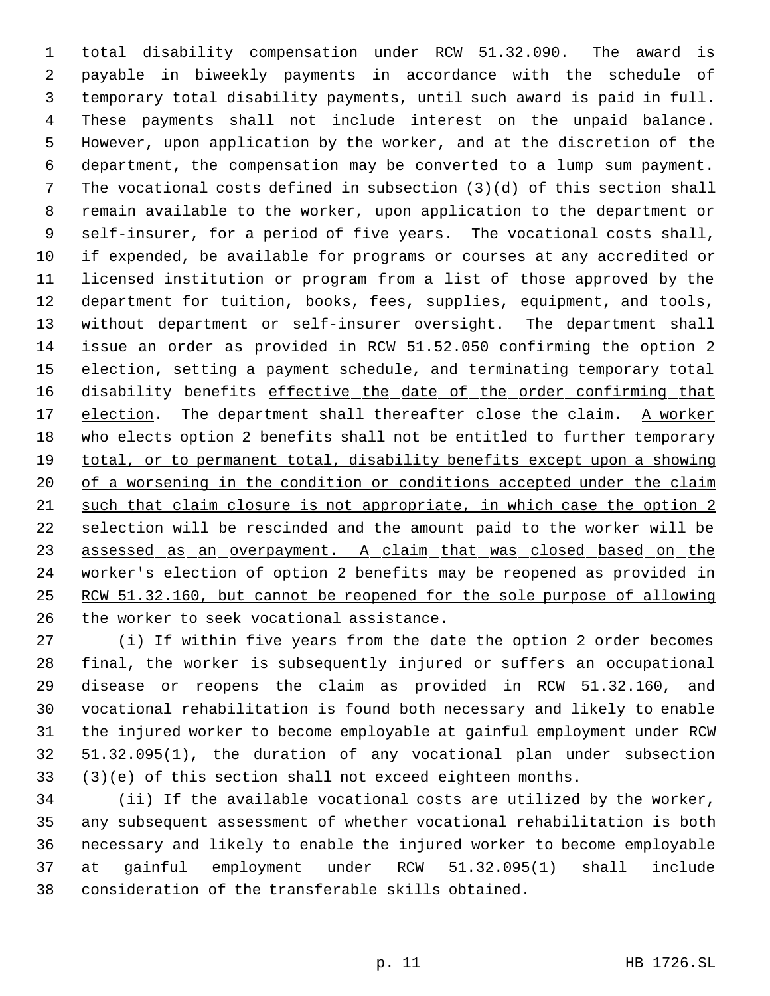total disability compensation under RCW 51.32.090. The award is payable in biweekly payments in accordance with the schedule of temporary total disability payments, until such award is paid in full. These payments shall not include interest on the unpaid balance. However, upon application by the worker, and at the discretion of the department, the compensation may be converted to a lump sum payment. The vocational costs defined in subsection (3)(d) of this section shall remain available to the worker, upon application to the department or self-insurer, for a period of five years. The vocational costs shall, if expended, be available for programs or courses at any accredited or licensed institution or program from a list of those approved by the department for tuition, books, fees, supplies, equipment, and tools, without department or self-insurer oversight. The department shall issue an order as provided in RCW 51.52.050 confirming the option 2 election, setting a payment schedule, and terminating temporary total 16 disability benefits effective the date of the order confirming that 17 election. The department shall thereafter close the claim. A worker who elects option 2 benefits shall not be entitled to further temporary 19 total, or to permanent total, disability benefits except upon a showing 20 of a worsening in the condition or conditions accepted under the claim such that claim closure is not appropriate, in which case the option 2 selection will be rescinded and the amount paid to the worker will be 23 assessed as an overpayment. A claim that was closed based on the worker's election of option 2 benefits may be reopened as provided in RCW 51.32.160, but cannot be reopened for the sole purpose of allowing the worker to seek vocational assistance.

 (i) If within five years from the date the option 2 order becomes final, the worker is subsequently injured or suffers an occupational disease or reopens the claim as provided in RCW 51.32.160, and vocational rehabilitation is found both necessary and likely to enable the injured worker to become employable at gainful employment under RCW 51.32.095(1), the duration of any vocational plan under subsection (3)(e) of this section shall not exceed eighteen months.

 (ii) If the available vocational costs are utilized by the worker, any subsequent assessment of whether vocational rehabilitation is both necessary and likely to enable the injured worker to become employable at gainful employment under RCW 51.32.095(1) shall include consideration of the transferable skills obtained.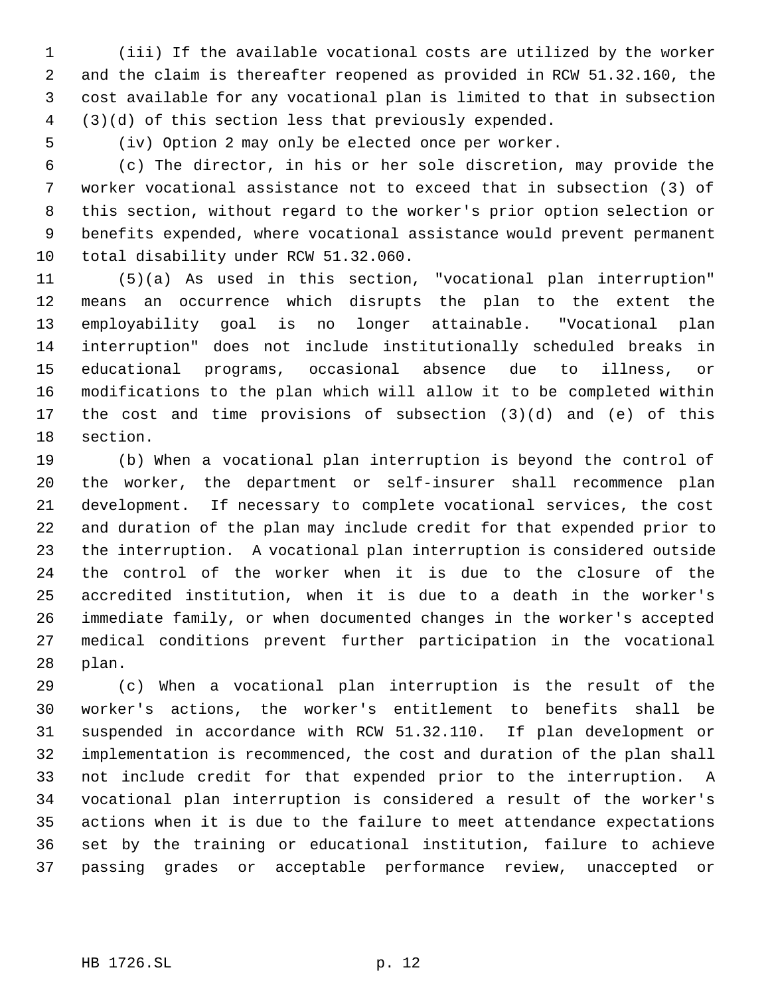(iii) If the available vocational costs are utilized by the worker and the claim is thereafter reopened as provided in RCW 51.32.160, the cost available for any vocational plan is limited to that in subsection (3)(d) of this section less that previously expended.

(iv) Option 2 may only be elected once per worker.

 (c) The director, in his or her sole discretion, may provide the worker vocational assistance not to exceed that in subsection (3) of this section, without regard to the worker's prior option selection or benefits expended, where vocational assistance would prevent permanent total disability under RCW 51.32.060.

 (5)(a) As used in this section, "vocational plan interruption" means an occurrence which disrupts the plan to the extent the employability goal is no longer attainable. "Vocational plan interruption" does not include institutionally scheduled breaks in educational programs, occasional absence due to illness, or modifications to the plan which will allow it to be completed within the cost and time provisions of subsection (3)(d) and (e) of this section.

 (b) When a vocational plan interruption is beyond the control of the worker, the department or self-insurer shall recommence plan development. If necessary to complete vocational services, the cost and duration of the plan may include credit for that expended prior to the interruption. A vocational plan interruption is considered outside the control of the worker when it is due to the closure of the accredited institution, when it is due to a death in the worker's immediate family, or when documented changes in the worker's accepted medical conditions prevent further participation in the vocational plan.

 (c) When a vocational plan interruption is the result of the worker's actions, the worker's entitlement to benefits shall be suspended in accordance with RCW 51.32.110. If plan development or implementation is recommenced, the cost and duration of the plan shall not include credit for that expended prior to the interruption. A vocational plan interruption is considered a result of the worker's actions when it is due to the failure to meet attendance expectations set by the training or educational institution, failure to achieve passing grades or acceptable performance review, unaccepted or